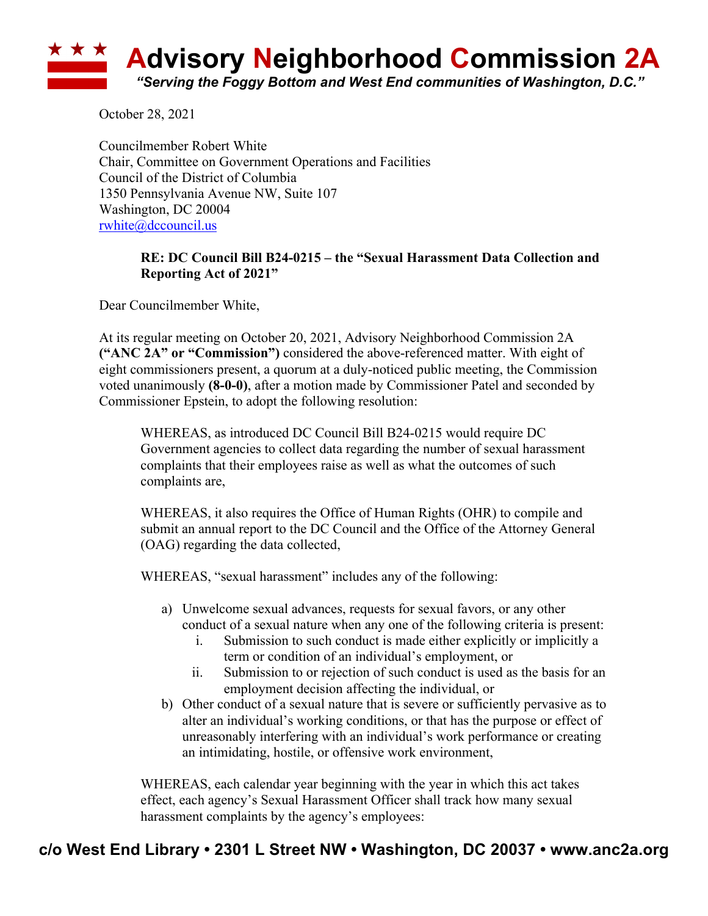## **Advisory Neighborhood Commission 2A** *"Serving the Foggy Bottom and West End communities of Washington, D.C."*

October 28, 2021

Councilmember Robert White Chair, Committee on Government Operations and Facilities Council of the District of Columbia 1350 Pennsylvania Avenue NW, Suite 107 Washington, DC 20004 rwhite@dccouncil.us

## **RE: DC Council Bill B24-0215 – the "Sexual Harassment Data Collection and Reporting Act of 2021"**

Dear Councilmember White,

At its regular meeting on October 20, 2021, Advisory Neighborhood Commission 2A **("ANC 2A" or "Commission")** considered the above-referenced matter. With eight of eight commissioners present, a quorum at a duly-noticed public meeting, the Commission voted unanimously **(8-0-0)**, after a motion made by Commissioner Patel and seconded by Commissioner Epstein, to adopt the following resolution:

WHEREAS, as introduced DC Council Bill B24-0215 would require DC Government agencies to collect data regarding the number of sexual harassment complaints that their employees raise as well as what the outcomes of such complaints are,

WHEREAS, it also requires the Office of Human Rights (OHR) to compile and submit an annual report to the DC Council and the Office of the Attorney General (OAG) regarding the data collected,

WHEREAS, "sexual harassment" includes any of the following:

- a) Unwelcome sexual advances, requests for sexual favors, or any other conduct of a sexual nature when any one of the following criteria is present:
	- i. Submission to such conduct is made either explicitly or implicitly a term or condition of an individual's employment, or
	- ii. Submission to or rejection of such conduct is used as the basis for an employment decision affecting the individual, or
- b) Other conduct of a sexual nature that is severe or sufficiently pervasive as to alter an individual's working conditions, or that has the purpose or effect of unreasonably interfering with an individual's work performance or creating an intimidating, hostile, or offensive work environment,

WHEREAS, each calendar year beginning with the year in which this act takes effect, each agency's Sexual Harassment Officer shall track how many sexual harassment complaints by the agency's employees: